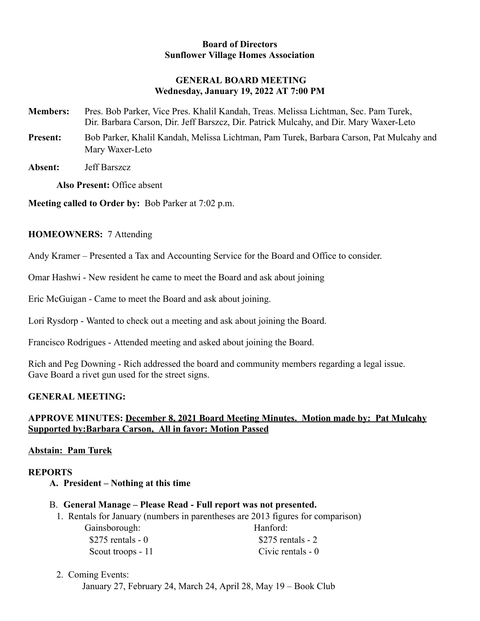#### **Board of Directors Sunflower Village Homes Association**

## **GENERAL BOARD MEETING Wednesday, January 19, 2022 AT 7:00 PM**

- **Members:** Pres. Bob Parker, Vice Pres. Khalil Kandah, Treas. Melissa Lichtman, Sec. Pam Turek, Dir. Barbara Carson, Dir. Jeff Barszcz, Dir. Patrick Mulcahy, and Dir. Mary Waxer-Leto
- **Present:** Bob Parker, Khalil Kandah, Melissa Lichtman, Pam Turek, Barbara Carson, Pat Mulcahy and Mary Waxer-Leto
- **Absent:** Jeff Barszcz

**Also Present:** Office absent

**Meeting called to Order by:** Bob Parker at 7:02 p.m.

#### **HOMEOWNERS:** 7 Attending

Andy Kramer – Presented a Tax and Accounting Service for the Board and Office to consider.

Omar Hashwi - New resident he came to meet the Board and ask about joining

Eric McGuigan - Came to meet the Board and ask about joining.

Lori Rysdorp - Wanted to check out a meeting and ask about joining the Board.

Francisco Rodrigues - Attended meeting and asked about joining the Board.

Rich and Peg Downing - Rich addressed the board and community members regarding a legal issue. Gave Board a rivet gun used for the street signs.

## **GENERAL MEETING:**

## **APPROVE MINUTES: December 8, 2021 Board Meeting Minutes. Motion made by: Pat Mulcahy Supported by:Barbara Carson, All in favor: Motion Passed**

## **Abstain: Pam Turek**

## **REPORTS**

- **A. President Nothing at this time**
- B. **General Manage Please Read Full report was not presented.**
- 1. Rentals for January (numbers in parentheses are 2013 figures for comparison)
	- Gainsborough: Hanford:  $$275$  rentals - 0  $$275$  rentals - 2 Scout troops - 11 Civic rentals - 0
- 2. Coming Events:

January 27, February 24, March 24, April 28, May 19 – Book Club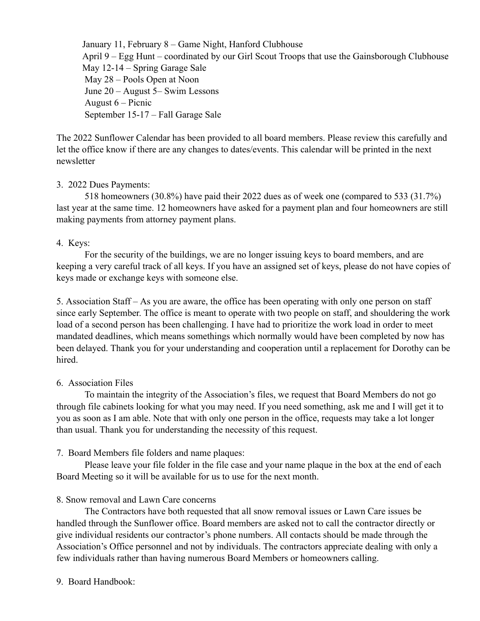January 11, February 8 – Game Night, Hanford Clubhouse April 9 – Egg Hunt – coordinated by our Girl Scout Troops that use the Gainsborough Clubhouse May 12-14 – Spring Garage Sale May 28 – Pools Open at Noon June 20 – August 5– Swim Lessons August 6 – Picnic September 15-17 – Fall Garage Sale

The 2022 Sunflower Calendar has been provided to all board members. Please review this carefully and let the office know if there are any changes to dates/events. This calendar will be printed in the next newsletter

#### 3. 2022 Dues Payments:

518 homeowners (30.8%) have paid their 2022 dues as of week one (compared to 533 (31.7%) last year at the same time. 12 homeowners have asked for a payment plan and four homeowners are still making payments from attorney payment plans.

#### 4. Keys:

For the security of the buildings, we are no longer issuing keys to board members, and are keeping a very careful track of all keys. If you have an assigned set of keys, please do not have copies of keys made or exchange keys with someone else.

5. Association Staff – As you are aware, the office has been operating with only one person on staff since early September. The office is meant to operate with two people on staff, and shouldering the work load of a second person has been challenging. I have had to prioritize the work load in order to meet mandated deadlines, which means somethings which normally would have been completed by now has been delayed. Thank you for your understanding and cooperation until a replacement for Dorothy can be hired.

## 6. Association Files

To maintain the integrity of the Association's files, we request that Board Members do not go through file cabinets looking for what you may need. If you need something, ask me and I will get it to you as soon as I am able. Note that with only one person in the office, requests may take a lot longer than usual. Thank you for understanding the necessity of this request.

## 7. Board Members file folders and name plaques:

Please leave your file folder in the file case and your name plaque in the box at the end of each Board Meeting so it will be available for us to use for the next month.

## 8. Snow removal and Lawn Care concerns

The Contractors have both requested that all snow removal issues or Lawn Care issues be handled through the Sunflower office. Board members are asked not to call the contractor directly or give individual residents our contractor's phone numbers. All contacts should be made through the Association's Office personnel and not by individuals. The contractors appreciate dealing with only a few individuals rather than having numerous Board Members or homeowners calling.

9. Board Handbook: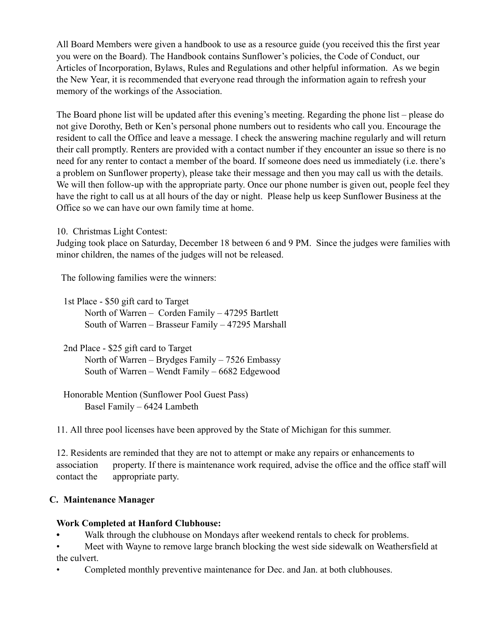All Board Members were given a handbook to use as a resource guide (you received this the first year you were on the Board). The Handbook contains Sunflower's policies, the Code of Conduct, our Articles of Incorporation, Bylaws, Rules and Regulations and other helpful information. As we begin the New Year, it is recommended that everyone read through the information again to refresh your memory of the workings of the Association.

The Board phone list will be updated after this evening's meeting. Regarding the phone list – please do not give Dorothy, Beth or Ken's personal phone numbers out to residents who call you. Encourage the resident to call the Office and leave a message. I check the answering machine regularly and will return their call promptly. Renters are provided with a contact number if they encounter an issue so there is no need for any renter to contact a member of the board. If someone does need us immediately (i.e. there's a problem on Sunflower property), please take their message and then you may call us with the details. We will then follow-up with the appropriate party. Once our phone number is given out, people feel they have the right to call us at all hours of the day or night. Please help us keep Sunflower Business at the Office so we can have our own family time at home.

10. Christmas Light Contest:

Judging took place on Saturday, December 18 between 6 and 9 PM. Since the judges were families with minor children, the names of the judges will not be released.

The following families were the winners:

1st Place - \$50 gift card to Target North of Warren – Corden Family – 47295 Bartlett South of Warren – Brasseur Family – 47295 Marshall

2nd Place - \$25 gift card to Target North of Warren – Brydges Family – 7526 Embassy South of Warren – Wendt Family – 6682 Edgewood

Honorable Mention (Sunflower Pool Guest Pass) Basel Family – 6424 Lambeth

11. All three pool licenses have been approved by the State of Michigan for this summer.

12. Residents are reminded that they are not to attempt or make any repairs or enhancements to association property. If there is maintenance work required, advise the office and the office staff will contact the appropriate party.

## **C. Maintenance Manager**

## **Work Completed at Hanford Clubhouse:**

- **•** Walk through the clubhouse on Mondays after weekend rentals to check for problems.
- Meet with Wayne to remove large branch blocking the west side sidewalk on Weathersfield at the culvert.
- Completed monthly preventive maintenance for Dec. and Jan. at both clubhouses.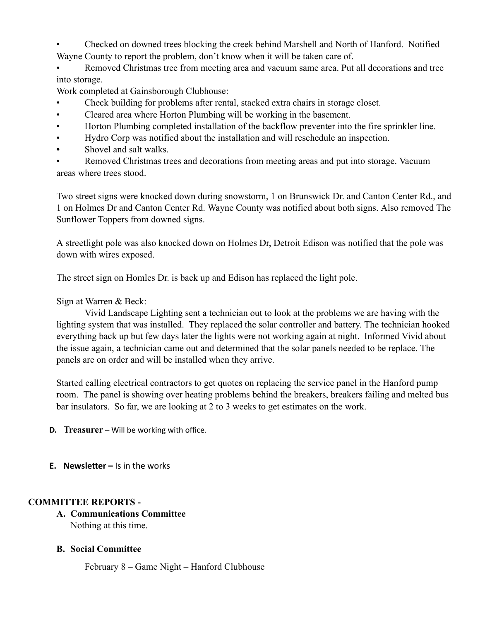• Checked on downed trees blocking the creek behind Marshell and North of Hanford. Notified Wayne County to report the problem, don't know when it will be taken care of.

• Removed Christmas tree from meeting area and vacuum same area. Put all decorations and tree into storage.

Work completed at Gainsborough Clubhouse:

- Check building for problems after rental, stacked extra chairs in storage closet.
- Cleared area where Horton Plumbing will be working in the basement.
- Horton Plumbing completed installation of the backflow preventer into the fire sprinkler line.
- Hydro Corp was notified about the installation and will reschedule an inspection.
- **•** Shovel and salt walks.

• Removed Christmas trees and decorations from meeting areas and put into storage. Vacuum areas where trees stood.

Two street signs were knocked down during snowstorm, 1 on Brunswick Dr. and Canton Center Rd., and 1 on Holmes Dr and Canton Center Rd. Wayne County was notified about both signs. Also removed The Sunflower Toppers from downed signs.

A streetlight pole was also knocked down on Holmes Dr, Detroit Edison was notified that the pole was down with wires exposed.

The street sign on Homles Dr. is back up and Edison has replaced the light pole.

Sign at Warren & Beck:

Vivid Landscape Lighting sent a technician out to look at the problems we are having with the lighting system that was installed. They replaced the solar controller and battery. The technician hooked everything back up but few days later the lights were not working again at night. Informed Vivid about the issue again, a technician came out and determined that the solar panels needed to be replace. The panels are on order and will be installed when they arrive.

Started calling electrical contractors to get quotes on replacing the service panel in the Hanford pump room. The panel is showing over heating problems behind the breakers, breakers failing and melted bus bar insulators. So far, we are looking at 2 to 3 weeks to get estimates on the work.

**D. Treasurer** – Will be working with office.

**E. Newsletter** – Is in the works

## **COMMITTEE REPORTS -**

- **A. Communications Committee** Nothing at this time.
- **B. Social Committee**

February 8 – Game Night – Hanford Clubhouse